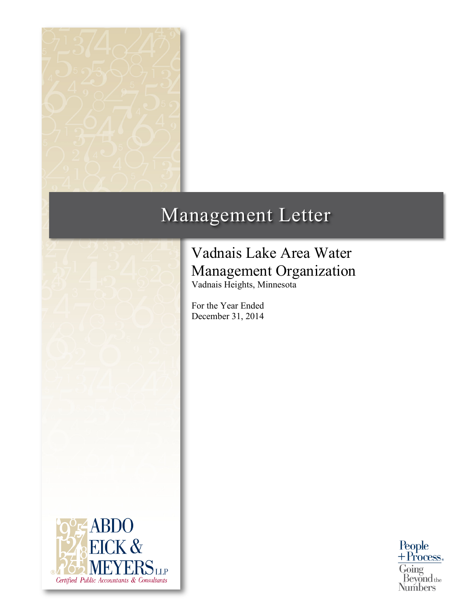

# Management Letter

# Vadnais Lake Area Water Management Organization

Vadnais Heights, Minnesota

For the Year Ended December 31, 2014



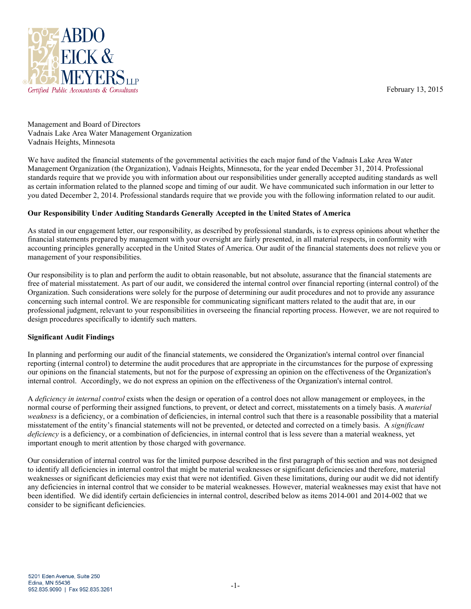February 13, 2015



Management and Board of Directors Vadnais Lake Area Water Management Organization Vadnais Heights, Minnesota

We have audited the financial statements of the governmental activities the each major fund of the Vadnais Lake Area Water Management Organization (the Organization), Vadnais Heights, Minnesota, for the year ended December 31, 2014. Professional standards require that we provide you with information about our responsibilities under generally accepted auditing standards as well as certain information related to the planned scope and timing of our audit. We have communicated such information in our letter to you dated December 2, 2014. Professional standards require that we provide you with the following information related to our audit.

# **Our Responsibility Under Auditing Standards Generally Accepted in the United States of America**

As stated in our engagement letter, our responsibility, as described by professional standards, is to express opinions about whether the financial statements prepared by management with your oversight are fairly presented, in all material respects, in conformity with accounting principles generally accepted in the United States of America. Our audit of the financial statements does not relieve you or management of your responsibilities.

Our responsibility is to plan and perform the audit to obtain reasonable, but not absolute, assurance that the financial statements are free of material misstatement. As part of our audit, we considered the internal control over financial reporting (internal control) of the Organization. Such considerations were solely for the purpose of determining our audit procedures and not to provide any assurance concerning such internal control. We are responsible for communicating significant matters related to the audit that are, in our professional judgment, relevant to your responsibilities in overseeing the financial reporting process. However, we are not required to design procedures specifically to identify such matters.

#### **Significant Audit Findings**

In planning and performing our audit of the financial statements, we considered the Organization's internal control over financial reporting (internal control) to determine the audit procedures that are appropriate in the circumstances for the purpose of expressing our opinions on the financial statements, but not for the purpose of expressing an opinion on the effectiveness of the Organization's internal control. Accordingly, we do not express an opinion on the effectiveness of the Organization's internal control.

A *deficiency in internal control* exists when the design or operation of a control does not allow management or employees, in the normal course of performing their assigned functions, to prevent, or detect and correct, misstatements on a timely basis. A *material weakness* is a deficiency, or a combination of deficiencies, in internal control such that there is a reasonable possibility that a material misstatement of the entity's financial statements will not be prevented, or detected and corrected on a timely basis. A *significant deficiency* is a deficiency, or a combination of deficiencies, in internal control that is less severe than a material weakness, yet important enough to merit attention by those charged with governance.

Our consideration of internal control was for the limited purpose described in the first paragraph of this section and was not designed to identify all deficiencies in internal control that might be material weaknesses or significant deficiencies and therefore, material weaknesses or significant deficiencies may exist that were not identified. Given these limitations, during our audit we did not identify any deficiencies in internal control that we consider to be material weaknesses. However, material weaknesses may exist that have not been identified. We did identify certain deficiencies in internal control, described below as items 2014-001 and 2014-002 that we consider to be significant deficiencies.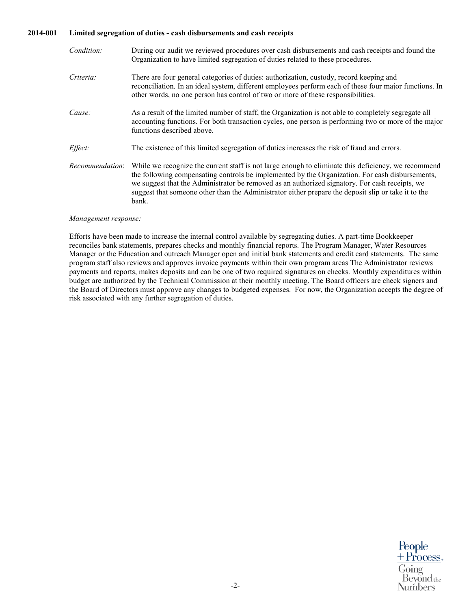#### **2014-001 Limited segregation of duties - cash disbursements and cash receipts**

| Condition:      | During our audit we reviewed procedures over cash disbursements and cash receipts and found the<br>Organization to have limited segregation of duties related to these procedures.                                                                                                                                                                                                                                       |
|-----------------|--------------------------------------------------------------------------------------------------------------------------------------------------------------------------------------------------------------------------------------------------------------------------------------------------------------------------------------------------------------------------------------------------------------------------|
| Criteria:       | There are four general categories of duties: authorization, custody, record keeping and<br>reconciliation. In an ideal system, different employees perform each of these four major functions. In<br>other words, no one person has control of two or more of these responsibilities.                                                                                                                                    |
| Cause:          | As a result of the limited number of staff, the Organization is not able to completely segregate all<br>accounting functions. For both transaction cycles, one person is performing two or more of the major<br>functions described above.                                                                                                                                                                               |
| Effect:         | The existence of this limited segregation of duties increases the risk of fraud and errors.                                                                                                                                                                                                                                                                                                                              |
| Recommendation: | While we recognize the current staff is not large enough to eliminate this deficiency, we recommend<br>the following compensating controls be implemented by the Organization. For cash disbursements,<br>we suggest that the Administrator be removed as an authorized signatory. For cash receipts, we<br>suggest that someone other than the Administrator either prepare the deposit slip or take it to the<br>bank. |

#### *Management response:*

Efforts have been made to increase the internal control available by segregating duties. A part-time Bookkeeper reconciles bank statements, prepares checks and monthly financial reports. The Program Manager, Water Resources Manager or the Education and outreach Manager open and initial bank statements and credit card statements. The same program staff also reviews and approves invoice payments within their own program areas The Administrator reviews payments and reports, makes deposits and can be one of two required signatures on checks. Monthly expenditures within budget are authorized by the Technical Commission at their monthly meeting. The Board officers are check signers and the Board of Directors must approve any changes to budgeted expenses. For now, the Organization accepts the degree of risk associated with any further segregation of duties.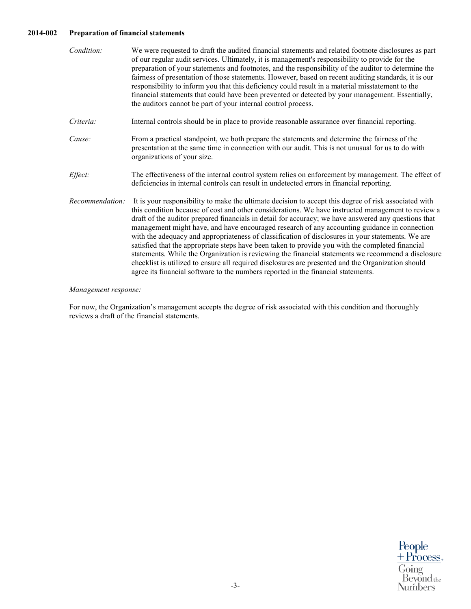#### **2014-002 Preparation of financial statements**

| Condition:      | We were requested to draft the audited financial statements and related footnote disclosures as part<br>of our regular audit services. Ultimately, it is management's responsibility to provide for the<br>preparation of your statements and footnotes, and the responsibility of the auditor to determine the<br>fairness of presentation of those statements. However, based on recent auditing standards, it is our<br>responsibility to inform you that this deficiency could result in a material misstatement to the<br>financial statements that could have been prevented or detected by your management. Essentially,<br>the auditors cannot be part of your internal control process.                                                                                                                                                                                                                              |
|-----------------|-------------------------------------------------------------------------------------------------------------------------------------------------------------------------------------------------------------------------------------------------------------------------------------------------------------------------------------------------------------------------------------------------------------------------------------------------------------------------------------------------------------------------------------------------------------------------------------------------------------------------------------------------------------------------------------------------------------------------------------------------------------------------------------------------------------------------------------------------------------------------------------------------------------------------------|
| Criteria:       | Internal controls should be in place to provide reasonable assurance over financial reporting.                                                                                                                                                                                                                                                                                                                                                                                                                                                                                                                                                                                                                                                                                                                                                                                                                                |
| Cause:          | From a practical standpoint, we both prepare the statements and determine the fairness of the<br>presentation at the same time in connection with our audit. This is not unusual for us to do with<br>organizations of your size.                                                                                                                                                                                                                                                                                                                                                                                                                                                                                                                                                                                                                                                                                             |
| Effect:         | The effectiveness of the internal control system relies on enforcement by management. The effect of<br>deficiencies in internal controls can result in undetected errors in financial reporting.                                                                                                                                                                                                                                                                                                                                                                                                                                                                                                                                                                                                                                                                                                                              |
| Recommendation: | It is your responsibility to make the ultimate decision to accept this degree of risk associated with<br>this condition because of cost and other considerations. We have instructed management to review a<br>draft of the auditor prepared financials in detail for accuracy; we have answered any questions that<br>management might have, and have encouraged research of any accounting guidance in connection<br>with the adequacy and appropriateness of classification of disclosures in your statements. We are<br>satisfied that the appropriate steps have been taken to provide you with the completed financial<br>statements. While the Organization is reviewing the financial statements we recommend a disclosure<br>checklist is utilized to ensure all required disclosures are presented and the Organization should<br>agree its financial software to the numbers reported in the financial statements. |

# *Management response:*

For now, the Organization's management accepts the degree of risk associated with this condition and thoroughly reviews a draft of the financial statements.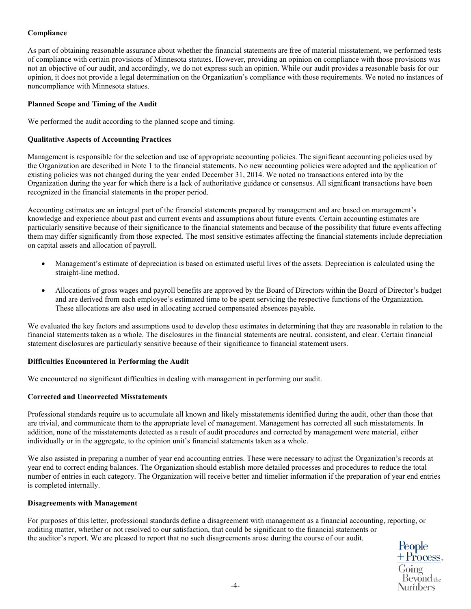# **Compliance**

As part of obtaining reasonable assurance about whether the financial statements are free of material misstatement, we performed tests of compliance with certain provisions of Minnesota statutes. However, providing an opinion on compliance with those provisions was not an objective of our audit, and accordingly, we do not express such an opinion. While our audit provides a reasonable basis for our opinion, it does not provide a legal determination on the Organization's compliance with those requirements. We noted no instances of noncompliance with Minnesota statues.

#### **Planned Scope and Timing of the Audit**

We performed the audit according to the planned scope and timing.

### **Qualitative Aspects of Accounting Practices**

Management is responsible for the selection and use of appropriate accounting policies. The significant accounting policies used by the Organization are described in Note 1 to the financial statements. No new accounting policies were adopted and the application of existing policies was not changed during the year ended December 31, 2014. We noted no transactions entered into by the Organization during the year for which there is a lack of authoritative guidance or consensus. All significant transactions have been recognized in the financial statements in the proper period.

Accounting estimates are an integral part of the financial statements prepared by management and are based on management's knowledge and experience about past and current events and assumptions about future events. Certain accounting estimates are particularly sensitive because of their significance to the financial statements and because of the possibility that future events affecting them may differ significantly from those expected. The most sensitive estimates affecting the financial statements include depreciation on capital assets and allocation of payroll.

- Management's estimate of depreciation is based on estimated useful lives of the assets. Depreciation is calculated using the straight-line method.
- Allocations of gross wages and payroll benefits are approved by the Board of Directors within the Board of Director's budget and are derived from each employee's estimated time to be spent servicing the respective functions of the Organization. These allocations are also used in allocating accrued compensated absences payable.

We evaluated the key factors and assumptions used to develop these estimates in determining that they are reasonable in relation to the financial statements taken as a whole. The disclosures in the financial statements are neutral, consistent, and clear. Certain financial statement disclosures are particularly sensitive because of their significance to financial statement users.

#### **Difficulties Encountered in Performing the Audit**

We encountered no significant difficulties in dealing with management in performing our audit.

#### **Corrected and Uncorrected Misstatements**

Professional standards require us to accumulate all known and likely misstatements identified during the audit, other than those that are trivial, and communicate them to the appropriate level of management. Management has corrected all such misstatements. In addition, none of the misstatements detected as a result of audit procedures and corrected by management were material, either individually or in the aggregate, to the opinion unit's financial statements taken as a whole.

We also assisted in preparing a number of year end accounting entries. These were necessary to adjust the Organization's records at year end to correct ending balances. The Organization should establish more detailed processes and procedures to reduce the total number of entries in each category. The Organization will receive better and timelier information if the preparation of year end entries is completed internally.

#### **Disagreements with Management**

For purposes of this letter, professional standards define a disagreement with management as a financial accounting, reporting, or auditing matter, whether or not resolved to our satisfaction, that could be significant to the financial statements or the auditor's report. We are pleased to report that no such disagreements arose during the course of our audit.

People  $+$ Process.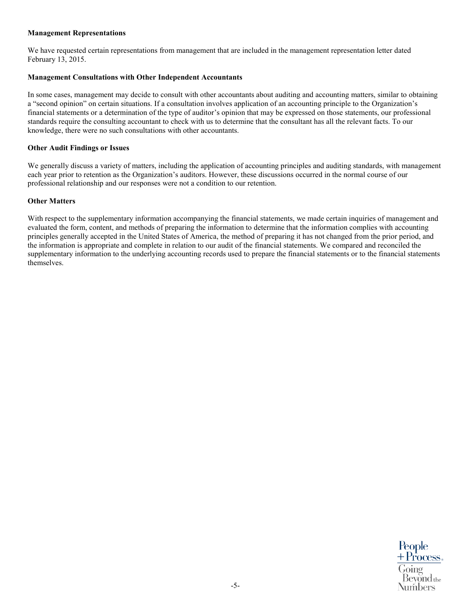#### **Management Representations**

We have requested certain representations from management that are included in the management representation letter dated February 13, 2015.

#### **Management Consultations with Other Independent Accountants**

In some cases, management may decide to consult with other accountants about auditing and accounting matters, similar to obtaining a "second opinion" on certain situations. If a consultation involves application of an accounting principle to the Organization's financial statements or a determination of the type of auditor's opinion that may be expressed on those statements, our professional standards require the consulting accountant to check with us to determine that the consultant has all the relevant facts. To our knowledge, there were no such consultations with other accountants.

#### **Other Audit Findings or Issues**

We generally discuss a variety of matters, including the application of accounting principles and auditing standards, with management each year prior to retention as the Organization's auditors. However, these discussions occurred in the normal course of our professional relationship and our responses were not a condition to our retention.

#### **Other Matters**

With respect to the supplementary information accompanying the financial statements, we made certain inquiries of management and evaluated the form, content, and methods of preparing the information to determine that the information complies with accounting principles generally accepted in the United States of America, the method of preparing it has not changed from the prior period, and the information is appropriate and complete in relation to our audit of the financial statements. We compared and reconciled the supplementary information to the underlying accounting records used to prepare the financial statements or to the financial statements themselves.

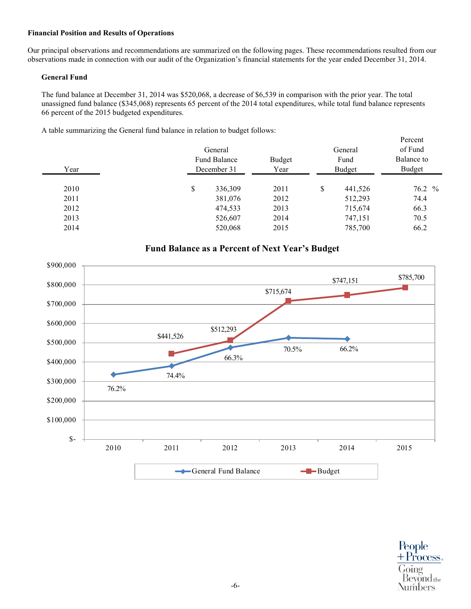#### **Financial Position and Results of Operations**

Our principal observations and recommendations are summarized on the following pages. These recommendations resulted from our observations made in connection with our audit of the Organization's financial statements for the year ended December 31, 2014.

#### **General Fund**

The fund balance at December 31, 2014 was \$520,068, a decrease of \$6,539 in comparison with the prior year. The total unassigned fund balance (\$345,068) represents 65 percent of the 2014 total expenditures, while total fund balance represents 66 percent of the 2015 budgeted expenditures.

A table summarizing the General fund balance in relation to budget follows:

| Year | General<br><b>Fund Balance</b><br>December 31 |         | <b>Budget</b><br>Year | General<br>Fund<br><b>Budget</b> |         | Percent<br>of Fund<br>Balance to<br><b>Budget</b> |  |
|------|-----------------------------------------------|---------|-----------------------|----------------------------------|---------|---------------------------------------------------|--|
| 2010 | \$                                            | 336,309 | 2011                  | \$                               | 441,526 | 76.2 %                                            |  |
| 2011 |                                               | 381,076 | 2012                  |                                  | 512,293 | 74.4                                              |  |
| 2012 |                                               | 474,533 | 2013                  |                                  | 715,674 | 66.3                                              |  |
| 2013 |                                               | 526,607 | 2014                  |                                  | 747,151 | 70.5                                              |  |
| 2014 |                                               | 520,068 | 2015                  |                                  | 785,700 | 66.2                                              |  |



# **Fund Balance as a Percent of Next Year's Budget**

People  $+$ Process. ioing  $\operatorname{Bevond}$  the Numbers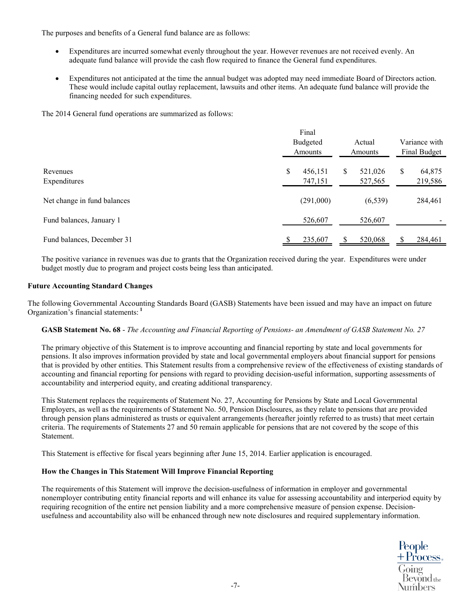The purposes and benefits of a General fund balance are as follows:

- Expenditures are incurred somewhat evenly throughout the year. However revenues are not received evenly. An adequate fund balance will provide the cash flow required to finance the General fund expenditures.
- Expenditures not anticipated at the time the annual budget was adopted may need immediate Board of Directors action. These would include capital outlay replacement, lawsuits and other items. An adequate fund balance will provide the financing needed for such expenditures.

The 2014 General fund operations are summarized as follows:

|                             | Final<br><b>Budgeted</b><br>Amounts |    | Actual<br>Amounts  |   | Variance with<br>Final Budget |  |
|-----------------------------|-------------------------------------|----|--------------------|---|-------------------------------|--|
| Revenues<br>Expenditures    | \$<br>456,151<br>747,151            | \$ | 521,026<br>527,565 | S | 64,875<br>219,586             |  |
|                             |                                     |    |                    |   |                               |  |
| Net change in fund balances | (291,000)                           |    | (6, 539)           |   | 284,461                       |  |
| Fund balances, January 1    | 526,607                             |    | 526,607            |   |                               |  |
| Fund balances, December 31  | 235,607                             |    | 520,068            | S | 284,461                       |  |

The positive variance in revenues was due to grants that the Organization received during the year. Expenditures were under budget mostly due to program and project costs being less than anticipated.

# **Future Accounting Standard Changes**

The following Governmental Accounting Standards Board (GASB) Statements have been issued and may have an impact on future Organization's financial statements:**<sup>1</sup>**

#### **GASB Statement No. 68** - *The Accounting and Financial Reporting of Pensions- an Amendment of GASB Statement No. 27*

The primary objective of this Statement is to improve accounting and financial reporting by state and local governments for pensions. It also improves information provided by state and local governmental employers about financial support for pensions that is provided by other entities. This Statement results from a comprehensive review of the effectiveness of existing standards of accounting and financial reporting for pensions with regard to providing decision-useful information, supporting assessments of accountability and interperiod equity, and creating additional transparency.

This Statement replaces the requirements of [Statement No. 27,](https://checkpoint.riag.com/app/main/docLinkNew?DocID=iGASB%3A841.2233&SrcDocId=T0GASB%3A1237.1-1&feature=ttoc&lastCpReqId=2203293) Accounting for Pensions by State and Local Governmental Employers, as well as the requirements of [Statement No. 50,](https://checkpoint.riag.com/app/main/docLinkNew?DocID=iGASB%3A932.1&SrcDocId=T0GASB%3A1237.1-1&feature=ttoc&lastCpReqId=2203293) Pension Disclosures, as they relate to pensions that are provided through pension plans administered as trusts or equivalent arrangements (hereafter jointly referred to as trusts) that meet certain criteria. The requirements of [Statements 27](https://checkpoint.riag.com/app/main/docLinkNew?DocID=iGASB%3A841.2233&SrcDocId=T0GASB%3A1237.1-1&feature=ttoc&lastCpReqId=2203293) and [50](https://checkpoint.riag.com/app/main/docLinkNew?DocID=iGASB%3A932.1&SrcDocId=T0GASB%3A1237.1-1&feature=ttoc&lastCpReqId=2203293) remain applicable for pensions that are not covered by the scope of this Statement.

This Statement is effective for fiscal years beginning after June 15, 2014. Earlier application is encouraged.

#### **How the Changes in This Statement Will Improve Financial Reporting**

The requirements of this Statement will improve the decision-usefulness of information in employer and governmental nonemployer contributing entity financial reports and will enhance its value for assessing accountability and interperiod equity by requiring recognition of the entire net pension liability and a more comprehensive measure of pension expense. Decisionusefulness and accountability also will be enhanced through new note disclosures and required supplementary information.